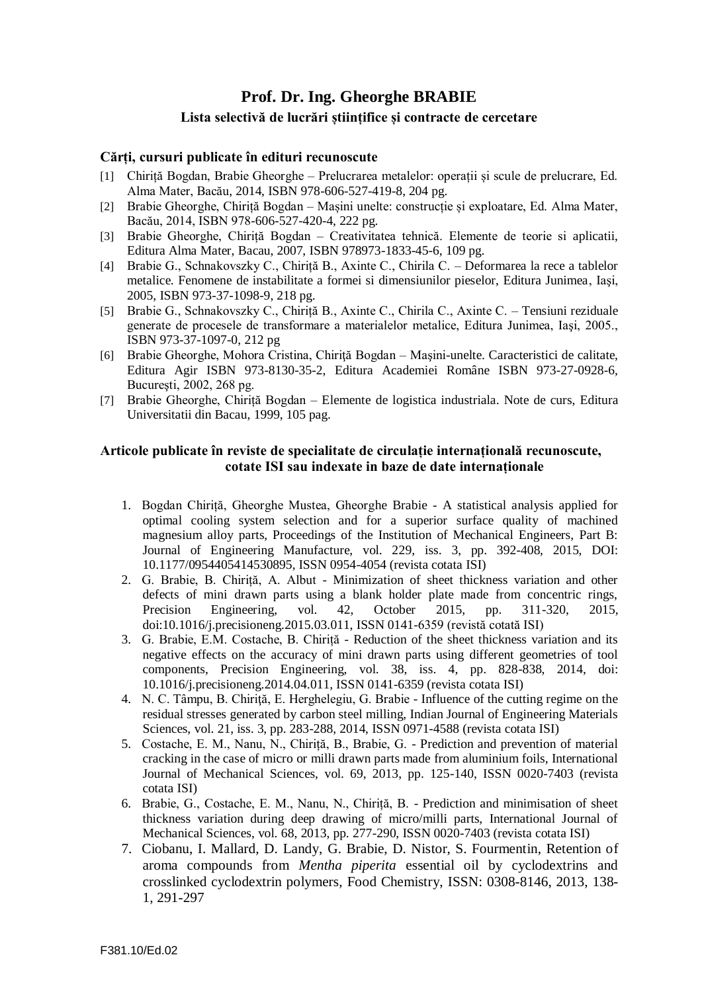# **Prof. Dr. Ing. Gheorghe BRABIE**

# **Lista selectivă de lucrări științifice și contracte de cercetare**

## **Cărți, cursuri publicate în edituri recunoscute**

- [1] Chiriță Bogdan, Brabie Gheorghe Prelucrarea metalelor: operații și scule de prelucrare, Ed. Alma Mater, Bacău, 2014, ISBN 978-606-527-419-8, 204 pg.
- [2] Brabie Gheorghe, Chiriță Bogdan Mașini unelte: construcție și exploatare, Ed. Alma Mater, Bacău, 2014, ISBN 978-606-527-420-4, 222 pg.
- [3] Brabie Gheorghe, Chiriță Bogdan Creativitatea tehnică. Elemente de teorie si aplicatii, Editura Alma Mater, Bacau, 2007, ISBN 978973-1833-45-6, 109 pg.
- [4] Brabie G., Schnakovszky C., Chiriță B., Axinte C., Chirila C. Deformarea la rece a tablelor metalice. Fenomene de instabilitate a formei si dimensiunilor pieselor, Editura Junimea, Iaşi, 2005, ISBN 973-37-1098-9, 218 pg.
- [5] Brabie G., Schnakovszky C., Chiriță B., Axinte C., Chirila C., Axinte C. Tensiuni reziduale generate de procesele de transformare a materialelor metalice, Editura Junimea, Iaşi, 2005., ISBN 973-37-1097-0, 212 pg
- [6] Brabie Gheorghe, Mohora Cristina, Chirită Bogdan Masini-unelte. Caracteristici de calitate, Editura Agir ISBN 973-8130-35-2, Editura Academiei Române ISBN 973-27-0928-6, Bucureşti, 2002, 268 pg.
- [7] Brabie Gheorghe, Chiriță Bogdan Elemente de logistica industriala. Note de curs, Editura Universitatii din Bacau, 1999, 105 pag.

## **Articole publicate în reviste de specialitate de circulație internațională recunoscute, cotate ISI sau indexate in baze de date internaționale**

- 1. Bogdan Chiriță, Gheorghe Mustea, Gheorghe Brabie A statistical analysis applied for optimal cooling system selection and for a superior surface quality of machined magnesium alloy parts, Proceedings of the Institution of Mechanical Engineers, Part B: Journal of Engineering Manufacture, vol. 229, iss. 3, pp. 392-408, 2015, DOI: 10.1177/0954405414530895, ISSN 0954-4054 (revista cotata ISI)
- 2. G. Brabie, B. Chiriță, A. Albut Minimization of sheet thickness variation and other defects of mini drawn parts using a blank holder plate made from concentric rings, Precision Engineering, vol. 42, October 2015, pp. 311-320, 2015, doi:10.1016/j.precisioneng.2015.03.011, ISSN 0141-6359 (revistă cotată ISI)
- 3. G. Brabie, E.M. Costache, B. Chiriță Reduction of the sheet thickness variation and its negative effects on the accuracy of mini drawn parts using different geometries of tool components, Precision Engineering, vol. 38, iss. 4, pp. 828-838, 2014, doi: 10.1016/j.precisioneng.2014.04.011, ISSN 0141-6359 (revista cotata ISI)
- 4. N. C. Tâmpu, B. Chiriţă, E. Herghelegiu, G. Brabie Influence of the cutting regime on the residual stresses generated by carbon steel milling, Indian Journal of Engineering Materials Sciences, vol. 21, iss. 3, pp. 283-288, 2014, ISSN 0971-4588 (revista cotata ISI)
- 5. Costache, E. M., Nanu, N., Chiriță, B., Brabie, G. Prediction and prevention of material cracking in the case of micro or milli drawn parts made from aluminium foils, International Journal of Mechanical Sciences, vol. 69, 2013, pp. 125-140, ISSN 0020-7403 (revista cotata ISI)
- 6. Brabie, G., Costache, E. M., Nanu, N., Chiriță, B. Prediction and minimisation of sheet thickness variation during deep drawing of micro/milli parts, International Journal of Mechanical Sciences, vol. 68, 2013, pp. 277-290, ISSN 0020-7403 (revista cotata ISI)
- 7. Ciobanu, I. Mallard, D. Landy, G. Brabie, D. Nistor, S. Fourmentin, [Retention of](http://www.sciencedirect.com/science/article/pii/S0308814612016809)  aroma compounds from *Mentha piperita* [essential oil by cyclodextrins and](http://www.sciencedirect.com/science/article/pii/S0308814612016809)  [crosslinked cyclodextrin polymers,](http://www.sciencedirect.com/science/article/pii/S0308814612016809) Food Chemistry, ISSN: 0308-8146, 2013, 138- 1, 291-297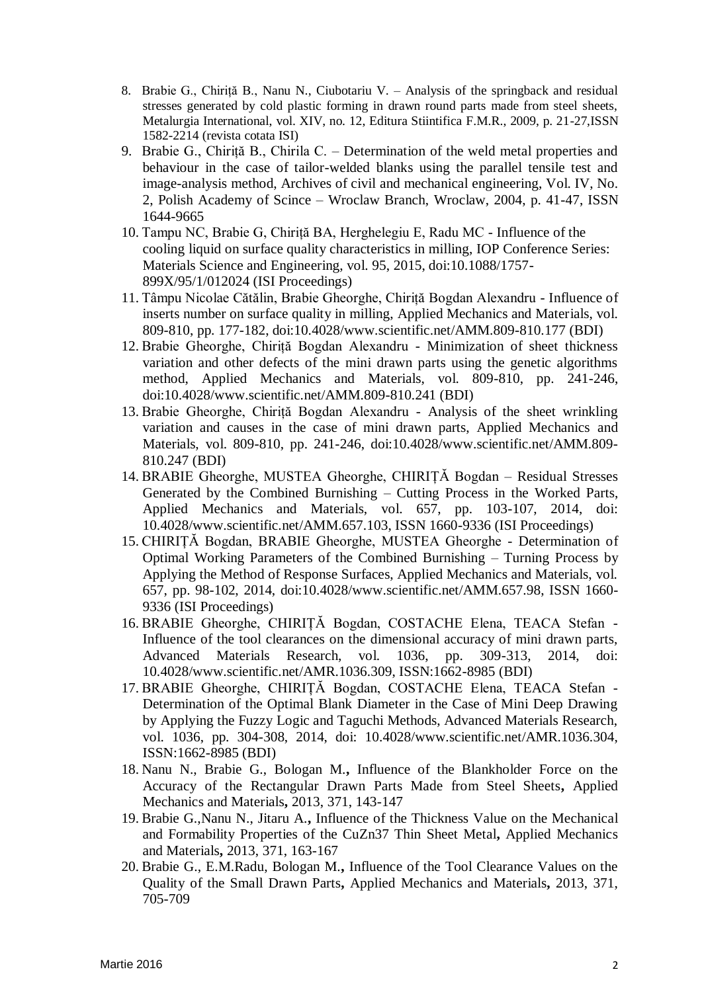- 8. Brabie G., Chiriță B., Nanu N., Ciubotariu V. Analysis of the springback and residual stresses generated by cold plastic forming in drawn round parts made from steel sheets, Metalurgia International, vol. XIV, no. 12, Editura Stiintifica F.M.R., 2009, p. 21-27,ISSN 1582-2214 (revista cotata ISI)
- 9. Brabie G., Chiriță B., Chirila C. Determination of the weld metal properties and behaviour in the case of tailor-welded blanks using the parallel tensile test and image-analysis method, Archives of civil and mechanical engineering, Vol. IV, No. 2, Polish Academy of Scince – Wroclaw Branch, Wroclaw, 2004, p. 41-47, ISSN 1644-9665
- 10. Tampu NC, Brabie G, Chiriță BA, Herghelegiu E, Radu MC Influence of the cooling liquid on surface quality characteristics in milling, IOP Conference Series: Materials Science and Engineering, vol. 95, 2015, doi:10.1088/1757- 899X/95/1/012024 (ISI Proceedings)
- 11. Tâmpu Nicolae Cătălin, Brabie Gheorghe, Chiriță Bogdan Alexandru Influence of inserts number on surface quality in milling, Applied Mechanics and Materials, vol. 809-810, pp. 177-182, doi:10.4028/www.scientific.net/AMM.809-810.177 (BDI)
- 12. Brabie Gheorghe, Chiriță Bogdan Alexandru Minimization of sheet thickness variation and other defects of the mini drawn parts using the genetic algorithms method, Applied Mechanics and Materials, vol. 809-810, pp. 241-246, doi:10.4028/www.scientific.net/AMM.809-810.241 (BDI)
- 13. Brabie Gheorghe, Chiriță Bogdan Alexandru Analysis of the sheet wrinkling variation and causes in the case of mini drawn parts, Applied Mechanics and Materials, vol. 809-810, pp. 241-246, doi:10.4028/www.scientific.net/AMM.809- 810.247 (BDI)
- 14. BRABIE Gheorghe, MUSTEA Gheorghe, CHIRIȚĂ Bogdan Residual Stresses Generated by the Combined Burnishing – Cutting Process in the Worked Parts, Applied Mechanics and Materials, vol. 657, pp. 103-107, 2014, doi: 10.4028/www.scientific.net/AMM.657.103, ISSN 1660-9336 (ISI Proceedings)
- 15. CHIRIȚĂ Bogdan, BRABIE Gheorghe, MUSTEA Gheorghe Determination of Optimal Working Parameters of the Combined Burnishing – Turning Process by Applying the Method of Response Surfaces, Applied Mechanics and Materials, vol. 657, pp. 98-102, 2014, doi:10.4028/www.scientific.net/AMM.657.98, ISSN 1660- 9336 (ISI Proceedings)
- 16. BRABIE Gheorghe, CHIRIȚĂ Bogdan, COSTACHE Elena, TEACA Stefan Influence of the tool clearances on the dimensional accuracy of mini drawn parts, Advanced Materials Research, vol. 1036, pp. 309-313, 2014, doi: 10.4028/www.scientific.net/AMR.1036.309, ISSN:1662-8985 (BDI)
- 17. BRABIE Gheorghe, CHIRIȚĂ Bogdan, COSTACHE Elena, TEACA Stefan Determination of the Optimal Blank Diameter in the Case of Mini Deep Drawing by Applying the Fuzzy Logic and Taguchi Methods, Advanced Materials Research, vol. 1036, pp. 304-308, 2014, doi: 10.4028/www.scientific.net/AMR.1036.304, ISSN:1662-8985 (BDI)
- 18. Nanu N., Brabie G., Bologan M.**,** Influence of the Blankholder Force on the Accuracy of the Rectangular Drawn Parts Made from Steel Sheets**,** Applied Mechanics and Materials**,** 2013, 371, 143-147
- 19. Brabie G.,Nanu N., Jitaru A.**,** Influence of the Thickness Value on the Mechanical and Formability Properties of the CuZn37 Thin Sheet Metal**,** Applied Mechanics and Materials**,** 2013, 371, 163-167
- 20. Brabie G., E.M.Radu, Bologan M.**,** Influence of the Tool Clearance Values on the Quality of the Small Drawn Parts**,** Applied Mechanics and Materials**,** 2013, 371, 705-709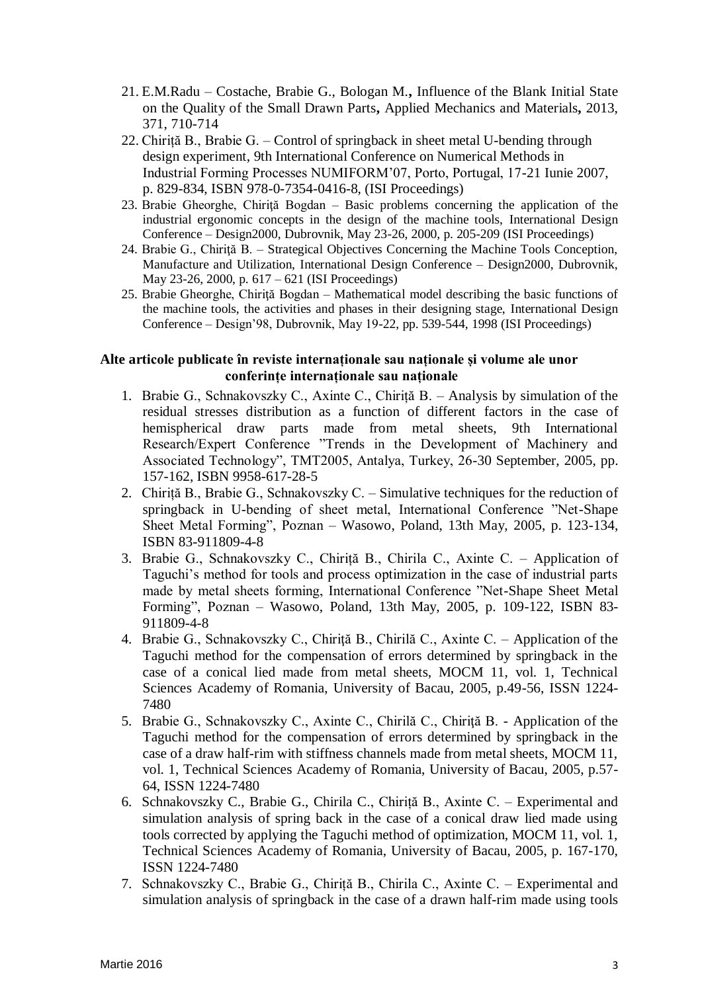- 21. E.M.Radu Costache, Brabie G., Bologan M.**,** Influence of the Blank Initial State on the Quality of the Small Drawn Parts**,** Applied Mechanics and Materials**,** 2013, 371, 710-714
- 22. Chiriță B., Brabie G. Control of springback in sheet metal U-bending through design experiment, 9th International Conference on Numerical Methods in Industrial Forming Processes NUMIFORM'07, Porto, Portugal, 17-21 Iunie 2007, p. 829-834, ISBN 978-0-7354-0416-8, (ISI Proceedings)
- 23. Brabie Gheorghe, Chiriţă Bogdan Basic problems concerning the application of the industrial ergonomic concepts in the design of the machine tools, International Design Conference – Design2000, Dubrovnik, May 23-26, 2000, p. 205-209 (ISI Proceedings)
- 24. Brabie G., Chiriţă B. Strategical Objectives Concerning the Machine Tools Conception, Manufacture and Utilization, International Design Conference – Design2000, Dubrovnik, May 23-26, 2000, p. 617 – 621 (ISI Proceedings)
- 25. Brabie Gheorghe, Chirită Bogdan Mathematical model describing the basic functions of the machine tools, the activities and phases in their designing stage, International Design Conference – Design'98, Dubrovnik, May 19-22, pp. 539-544, 1998 (ISI Proceedings)

# **Alte articole publicate în reviste internaționale sau naționale și volume ale unor conferințe internaționale sau naționale**

- 1. Brabie G., Schnakovszky C., Axinte C., Chiriță B. Analysis by simulation of the residual stresses distribution as a function of different factors in the case of hemispherical draw parts made from metal sheets, 9th International Research/Expert Conference "Trends in the Development of Machinery and Associated Technology", TMT2005, Antalya, Turkey, 26-30 September, 2005, pp. 157-162, ISBN 9958-617-28-5
- 2. Chiriță B., Brabie G., Schnakovszky C. Simulative techniques for the reduction of springback in U-bending of sheet metal, International Conference "Net-Shape Sheet Metal Forming", Poznan – Wasowo, Poland, 13th May, 2005, p. 123-134, ISBN 83-911809-4-8
- 3. Brabie G., Schnakovszky C., Chiriță B., Chirila C., Axinte C. Application of Taguchi's method for tools and process optimization in the case of industrial parts made by metal sheets forming, International Conference "Net-Shape Sheet Metal Forming", Poznan – Wasowo, Poland, 13th May, 2005, p. 109-122, ISBN 83- 911809-4-8
- 4. Brabie G., Schnakovszky C., Chiriţă B., Chirilă C., Axinte C. Application of the Taguchi method for the compensation of errors determined by springback in the case of a conical lied made from metal sheets, MOCM 11, vol. 1, Technical Sciences Academy of Romania, University of Bacau, 2005, p.49-56, ISSN 1224- 7480
- 5. Brabie G., Schnakovszky C., Axinte C., Chirilă C., Chiriţă B. Application of the Taguchi method for the compensation of errors determined by springback in the case of a draw half-rim with stiffness channels made from metal sheets, MOCM 11, vol. 1, Technical Sciences Academy of Romania, University of Bacau, 2005, p.57- 64, ISSN 1224-7480
- 6. Schnakovszky C., Brabie G., Chirila C., Chiriță B., Axinte C. Experimental and simulation analysis of spring back in the case of a conical draw lied made using tools corrected by applying the Taguchi method of optimization, MOCM 11, vol. 1, Technical Sciences Academy of Romania, University of Bacau, 2005, p. 167-170, ISSN 1224-7480
- 7. Schnakovszky C., Brabie G., Chiriță B., Chirila C., Axinte C. Experimental and simulation analysis of springback in the case of a drawn half-rim made using tools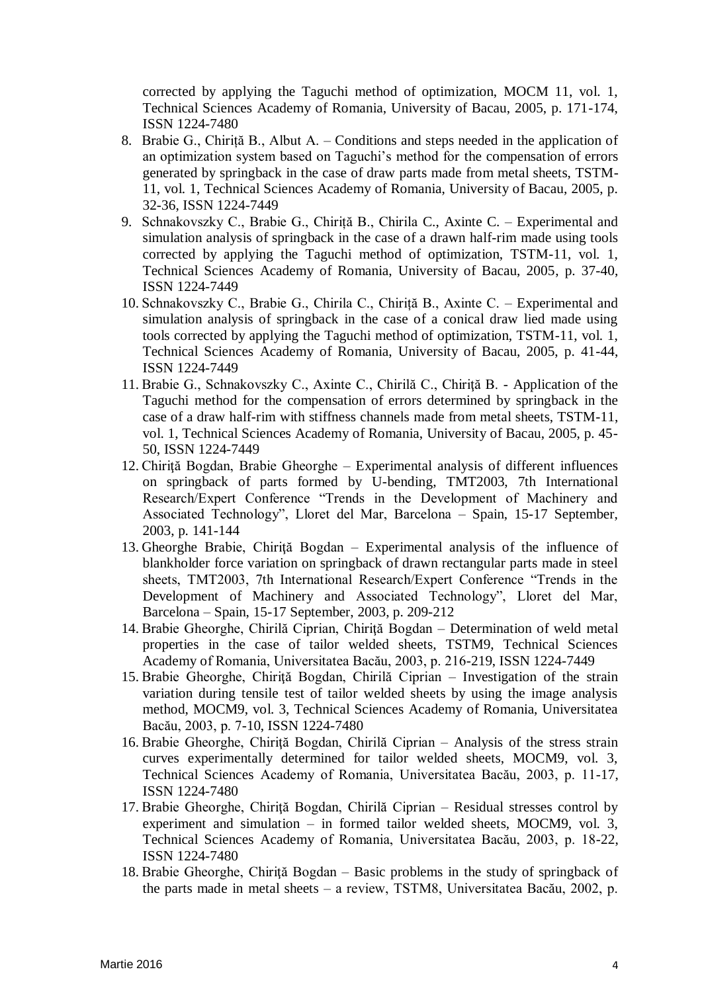corrected by applying the Taguchi method of optimization, MOCM 11, vol. 1, Technical Sciences Academy of Romania, University of Bacau, 2005, p. 171-174, ISSN 1224-7480

- 8. Brabie G., Chiriță B., Albut A. Conditions and steps needed in the application of an optimization system based on Taguchi's method for the compensation of errors generated by springback in the case of draw parts made from metal sheets, TSTM-11, vol. 1, Technical Sciences Academy of Romania, University of Bacau, 2005, p. 32-36, ISSN 1224-7449
- 9. Schnakovszky C., Brabie G., Chiriță B., Chirila C., Axinte C. Experimental and simulation analysis of springback in the case of a drawn half-rim made using tools corrected by applying the Taguchi method of optimization, TSTM-11, vol. 1, Technical Sciences Academy of Romania, University of Bacau, 2005, p. 37-40, ISSN 1224-7449
- 10. Schnakovszky C., Brabie G., Chirila C., Chiriță B., Axinte C. Experimental and simulation analysis of springback in the case of a conical draw lied made using tools corrected by applying the Taguchi method of optimization, TSTM-11, vol. 1, Technical Sciences Academy of Romania, University of Bacau, 2005, p. 41-44, ISSN 1224-7449
- 11. Brabie G., Schnakovszky C., Axinte C., Chirilă C., Chiriţă B. Application of the Taguchi method for the compensation of errors determined by springback in the case of a draw half-rim with stiffness channels made from metal sheets, TSTM-11, vol. 1, Technical Sciences Academy of Romania, University of Bacau, 2005, p. 45- 50, ISSN 1224-7449
- 12. Chiriţă Bogdan, Brabie Gheorghe Experimental analysis of different influences on springback of parts formed by U-bending, TMT2003, 7th International Research/Expert Conference "Trends in the Development of Machinery and Associated Technology", Lloret del Mar, Barcelona – Spain, 15-17 September, 2003, p. 141-144
- 13. Gheorghe Brabie, Chiriţă Bogdan Experimental analysis of the influence of blankholder force variation on springback of drawn rectangular parts made in steel sheets, TMT2003, 7th International Research/Expert Conference "Trends in the Development of Machinery and Associated Technology", Lloret del Mar, Barcelona – Spain, 15-17 September, 2003, p. 209-212
- 14. Brabie Gheorghe, Chirilă Ciprian, Chiriţă Bogdan Determination of weld metal properties in the case of tailor welded sheets, TSTM9, Technical Sciences Academy of Romania, Universitatea Bacău, 2003, p. 216-219, ISSN 1224-7449
- 15. Brabie Gheorghe, Chiriţă Bogdan, Chirilă Ciprian Investigation of the strain variation during tensile test of tailor welded sheets by using the image analysis method, MOCM9, vol. 3, Technical Sciences Academy of Romania, Universitatea Bacău, 2003, p. 7-10, ISSN 1224-7480
- 16. Brabie Gheorghe, Chiriţă Bogdan, Chirilă Ciprian Analysis of the stress strain curves experimentally determined for tailor welded sheets, MOCM9, vol. 3, Technical Sciences Academy of Romania, Universitatea Bacău, 2003, p. 11-17, ISSN 1224-7480
- 17. Brabie Gheorghe, Chiriţă Bogdan, Chirilă Ciprian Residual stresses control by experiment and simulation – in formed tailor welded sheets, MOCM9, vol. 3, Technical Sciences Academy of Romania, Universitatea Bacău, 2003, p. 18-22, ISSN 1224-7480
- 18. Brabie Gheorghe, Chiriţă Bogdan Basic problems in the study of springback of the parts made in metal sheets – a review, TSTM8, Universitatea Bacău, 2002, p.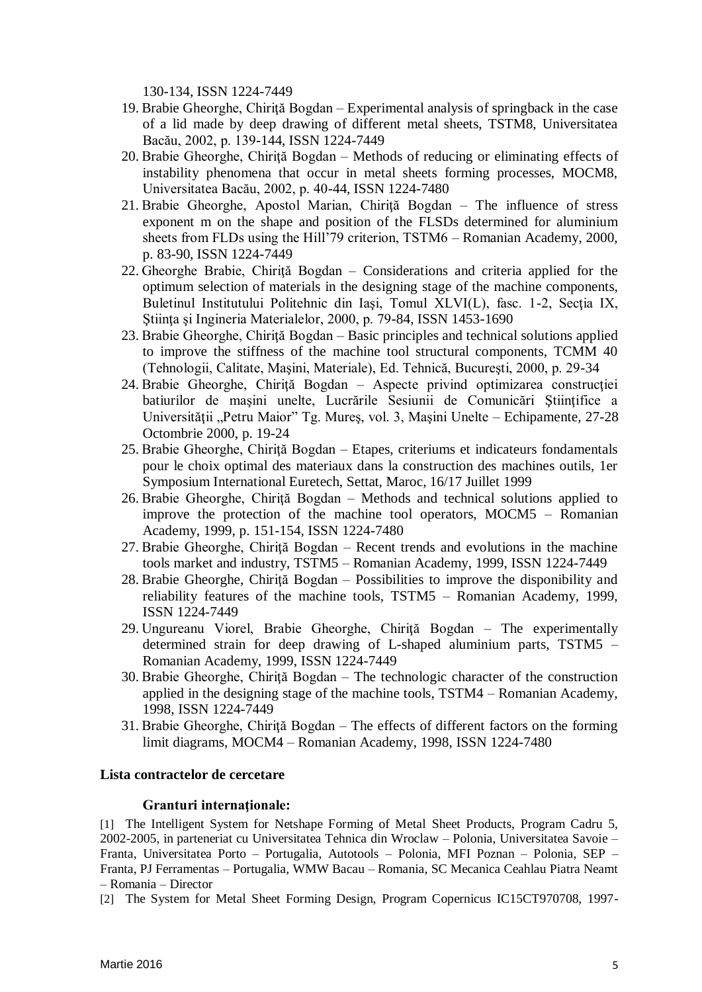130-134, ISSN 1224-7449

- 19. Brabie Gheorghe, Chiriţă Bogdan Experimental analysis of springback in the case of a lid made by deep drawing of different metal sheets, TSTM8, Universitatea Bacău, 2002, p. 139-144, ISSN 1224-7449
- 20. Brabie Gheorghe, Chiriţă Bogdan Methods of reducing or eliminating effects of instability phenomena that occur in metal sheets forming processes, MOCM8, Universitatea Bacău, 2002, p. 40-44, ISSN 1224-7480
- 21. Brabie Gheorghe, Apostol Marian, Chiriţă Bogdan The influence of stress exponent m on the shape and position of the FLSDs determined for aluminium sheets from FLDs using the Hill'79 criterion, TSTM6 – Romanian Academy, 2000, p. 83-90, ISSN 1224-7449
- 22. Gheorghe Brabie, Chiriţă Bogdan Considerations and criteria applied for the optimum selection of materials in the designing stage of the machine components, Buletinul Institutului Politehnic din Iaşi, Tomul XLVI(L), fasc. 1-2, Secţia IX, Ştiinţa şi Ingineria Materialelor, 2000, p. 79-84, ISSN 1453-1690
- 23. Brabie Gheorghe, Chiriţă Bogdan Basic principles and technical solutions applied to improve the stiffness of the machine tool structural components, TCMM 40 (Tehnologii, Calitate, Maşini, Materiale), Ed. Tehnică, Bucureşti, 2000, p. 29-34
- 24. Brabie Gheorghe, Chiriţă Bogdan Aspecte privind optimizarea construcţiei batiurilor de masini unelte, Lucrările Sesiunii de Comunicări Stiintifice a Universității "Petru Maior" Tg. Mureș, vol. 3, Mașini Unelte – Echipamente, 27-28 Octombrie 2000, p. 19-24
- 25. Brabie Gheorghe, Chiriţă Bogdan Etapes, criteriums et indicateurs fondamentals pour le choix optimal des materiaux dans la construction des machines outils, 1er Symposium International Euretech, Settat, Maroc, 16/17 Juillet 1999
- 26. Brabie Gheorghe, Chirită Bogdan Methods and technical solutions applied to improve the protection of the machine tool operators, MOCM5 – Romanian Academy, 1999, p. 151-154, ISSN 1224-7480
- 27. Brabie Gheorghe, Chiriţă Bogdan Recent trends and evolutions in the machine tools market and industry, TSTM5 – Romanian Academy, 1999, ISSN 1224-7449
- 28. Brabie Gheorghe, Chiriţă Bogdan Possibilities to improve the disponibility and reliability features of the machine tools, TSTM5 – Romanian Academy, 1999, ISSN 1224-7449
- 29. Ungureanu Viorel, Brabie Gheorghe, Chiriţă Bogdan The experimentally determined strain for deep drawing of L-shaped aluminium parts, TSTM5 – Romanian Academy, 1999, ISSN 1224-7449
- 30. Brabie Gheorghe, Chiriţă Bogdan The technologic character of the construction applied in the designing stage of the machine tools, TSTM4 – Romanian Academy, 1998, ISSN 1224-7449
- 31. Brabie Gheorghe, Chiriţă Bogdan The effects of different factors on the forming limit diagrams, MOCM4 – Romanian Academy, 1998, ISSN 1224-7480

### **Lista contractelor de cercetare**

### **Granturi internaţionale:**

[1] The Intelligent System for Netshape Forming of Metal Sheet Products, Program Cadru 5, 2002-2005, in parteneriat cu Universitatea Tehnica din Wroclaw – Polonia, Universitatea Savoie – Franta, Universitatea Porto – Portugalia, Autotools – Polonia, MFI Poznan – Polonia, SEP – Franta, PJ Ferramentas – Portugalia, WMW Bacau – Romania, SC Mecanica Ceahlau Piatra Neamt – Romania – Director

[2] The System for Metal Sheet Forming Design, Program Copernicus IC15CT970708, 1997-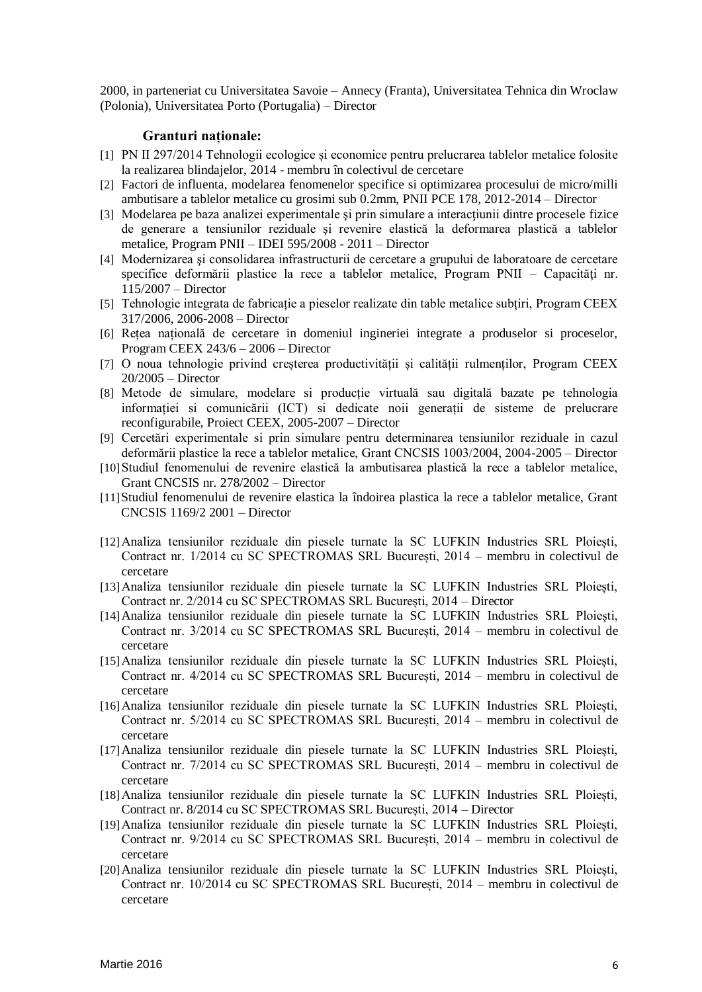2000, in parteneriat cu Universitatea Savoie – Annecy (Franta), Universitatea Tehnica din Wroclaw (Polonia), Universitatea Porto (Portugalia) – Director

## **Granturi naționale:**

- [1] PN II 297/2014 Tehnologii ecologice și economice pentru prelucrarea tablelor metalice folosite la realizarea blindajelor, 2014 - membru în colectivul de cercetare
- [2] Factori de influenta, modelarea fenomenelor specifice si optimizarea procesului de micro/milli ambutisare a tablelor metalice cu grosimi sub 0.2mm, PNII PCE 178, 2012-2014 – Director
- [3] Modelarea pe baza analizei experimentale și prin simulare a interacțiunii dintre procesele fizice de generare a tensiunilor reziduale şi revenire elastică la deformarea plastică a tablelor metalice, Program PNII – IDEI 595/2008 - 2011 – Director
- [4] Modernizarea şi consolidarea infrastructurii de cercetare a grupului de laboratoare de cercetare specifice deformării plastice la rece a tablelor metalice, Program  $PNII - Capacit\tilde{a}t$ i nr. 115/2007 – Director
- [5] Tehnologie integrata de fabricație a pieselor realizate din table metalice subțiri, Program CEEX 317/2006, 2006-2008 – Director
- [6] Rețea națională de cercetare in domeniul ingineriei integrate a produselor si proceselor, Program CEEX 243/6 – 2006 – Director
- [7] O noua tehnologie privind creșterea productivității și calității rulmenților, Program CEEX 20/2005 – Director
- [8] Metode de simulare, modelare si producție virtuală sau digitală bazate pe tehnologia informației si comunicării (ICT) si dedicate noii generații de sisteme de prelucrare reconfigurabile, Proiect CEEX, 2005-2007 – Director
- [9] Cercetări experimentale si prin simulare pentru determinarea tensiunilor reziduale in cazul deformării plastice la rece a tablelor metalice, Grant CNCSIS 1003/2004, 2004-2005 – Director
- [10]Studiul fenomenului de revenire elastică la ambutisarea plastică la rece a tablelor metalice, Grant CNCSIS nr. 278/2002 – Director
- [11]Studiul fenomenului de revenire elastica la îndoirea plastica la rece a tablelor metalice, Grant CNCSIS 1169/2 2001 – Director
- [12]Analiza tensiunilor reziduale din piesele turnate la SC LUFKIN Industries SRL Ploiești, Contract nr. 1/2014 cu SC SPECTROMAS SRL București, 2014 – membru in colectivul de cercetare
- [13]Analiza tensiunilor reziduale din piesele turnate la SC LUFKIN Industries SRL Ploiești, Contract nr. 2/2014 cu SC SPECTROMAS SRL București, 2014 – Director
- [14]Analiza tensiunilor reziduale din piesele turnate la SC LUFKIN Industries SRL Ploiești, Contract nr. 3/2014 cu SC SPECTROMAS SRL București, 2014 – membru in colectivul de cercetare
- [15]Analiza tensiunilor reziduale din piesele turnate la SC LUFKIN Industries SRL Ploiești, Contract nr. 4/2014 cu SC SPECTROMAS SRL București, 2014 – membru in colectivul de cercetare
- [16]Analiza tensiunilor reziduale din piesele turnate la SC LUFKIN Industries SRL Ploiești, Contract nr. 5/2014 cu SC SPECTROMAS SRL București, 2014 – membru in colectivul de cercetare
- [17]Analiza tensiunilor reziduale din piesele turnate la SC LUFKIN Industries SRL Ploiești, Contract nr. 7/2014 cu SC SPECTROMAS SRL București, 2014 – membru in colectivul de cercetare
- [18]Analiza tensiunilor reziduale din piesele turnate la SC LUFKIN Industries SRL Ploiești, Contract nr. 8/2014 cu SC SPECTROMAS SRL București, 2014 – Director
- [19]Analiza tensiunilor reziduale din piesele turnate la SC LUFKIN Industries SRL Ploiești, Contract nr. 9/2014 cu SC SPECTROMAS SRL București, 2014 – membru in colectivul de cercetare
- [20]Analiza tensiunilor reziduale din piesele turnate la SC LUFKIN Industries SRL Ploiești, Contract nr. 10/2014 cu SC SPECTROMAS SRL București, 2014 – membru in colectivul de cercetare